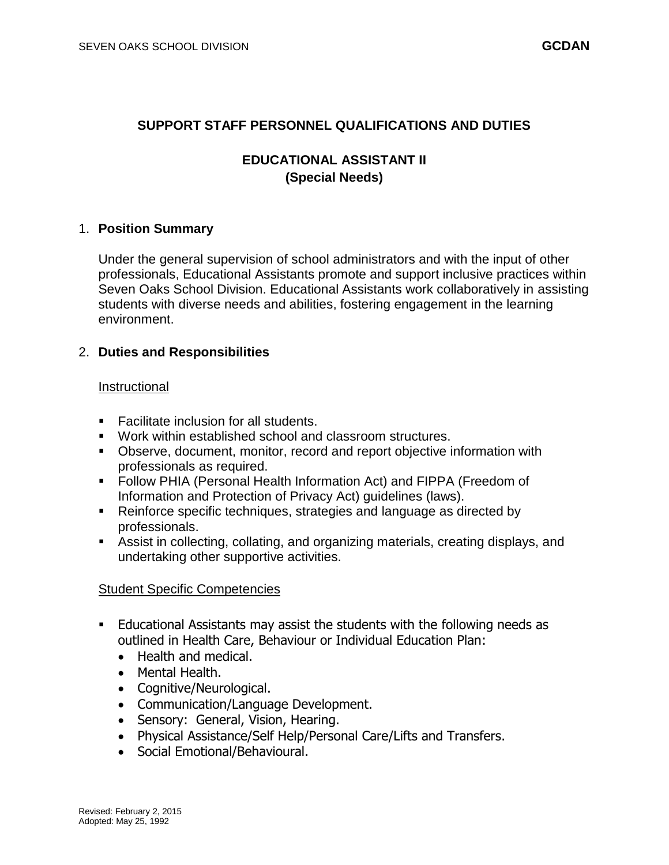## **SUPPORT STAFF PERSONNEL QUALIFICATIONS AND DUTIES**

# **EDUCATIONAL ASSISTANT II (Special Needs)**

#### 1. **Position Summary**

Under the general supervision of school administrators and with the input of other professionals, Educational Assistants promote and support inclusive practices within Seven Oaks School Division. Educational Assistants work collaboratively in assisting students with diverse needs and abilities, fostering engagement in the learning environment.

## 2. **Duties and Responsibilities**

#### Instructional

- Facilitate inclusion for all students.
- Work within established school and classroom structures.
- Observe, document, monitor, record and report objective information with professionals as required.
- Follow PHIA (Personal Health Information Act) and FIPPA (Freedom of Information and Protection of Privacy Act) guidelines (laws).
- Reinforce specific techniques, strategies and language as directed by professionals.
- Assist in collecting, collating, and organizing materials, creating displays, and undertaking other supportive activities.

## Student Specific Competencies

- Educational Assistants may assist the students with the following needs as outlined in Health Care, Behaviour or Individual Education Plan:
	- Health and medical.
	- Mental Health.
	- Cognitive/Neurological.
	- Communication/Language Development.
	- Sensory: General, Vision, Hearing.
	- Physical Assistance/Self Help/Personal Care/Lifts and Transfers.
	- Social Emotional/Behavioural.